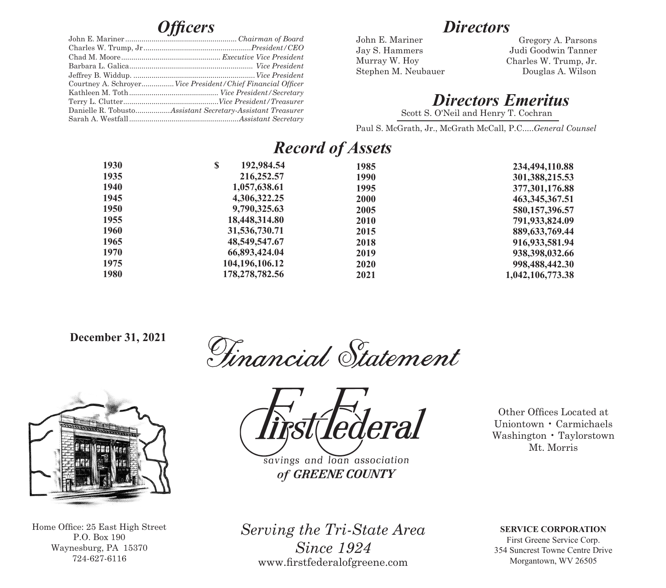|  | Courtney A. Schroyer Vice President/Chief Financial Officer |  |  |  |
|--|-------------------------------------------------------------|--|--|--|
|  |                                                             |  |  |  |
|  |                                                             |  |  |  |
|  | Danielle R. TobustoAssistant Secretary-Assistant Treasurer  |  |  |  |
|  |                                                             |  |  |  |

## *Directors*

John E. Mariner Jay S. Hammers Murray W. Hoy

Stephen M. Neubauer Douglas A. Wilson Gregory A. Parsons Judi Goodwin Tanner Charles W. Trump, Jr.

*Directors Emeritus*

Scott S. O'Neil and Henry T. Cochran

Paul S. McGrath, Jr., McGrath McCall, P.C.....*General Counsel*

## *Record of Assets*

| 1930 | S<br>192,984.54   | 1985 | 234,494,110.88    |
|------|-------------------|------|-------------------|
| 1935 | 216,252.57        | 1990 | 301,388,215.53    |
| 1940 | 1,057,638.61      | 1995 | 377,301,176.88    |
| 1945 | 4,306,322.25      | 2000 | 463, 345, 367. 51 |
| 1950 | 9,790,325.63      | 2005 | 580,157,396.57    |
| 1955 | 18,448,314.80     | 2010 | 791,933,824.09    |
| 1960 | 31,536,730.71     | 2015 | 889, 633, 769, 44 |
| 1965 | 48,549,547.67     | 2018 | 916, 933, 581. 94 |
| 1970 | 66,893,424.04     | 2019 | 938, 398, 032.66  |
| 1975 | 104, 196, 106. 12 | 2020 | 998,488,442.30    |
| 1980 | 178, 278, 782. 56 | 2021 | 1,042,106,773.38  |
|      |                   |      |                   |

 **December 31, 2021**

Tinancial Statement



Home Office: 25 East High Street P.O. Box 190 Waynesburg, PA 15370 724-627-6116



savings and loan association of GREENE COUNTY

Other Offices Located at Uniontown • Carmichaels Washington • Taylorstown Mt. Morris

*Serving the Tri-State Area Since 1924* www.firstfederalofgreene.com

**SERVICE CORPORATION**

First Greene Service Corp. 354 Suncrest Towne Centre Drive Morgantown, WV 26505